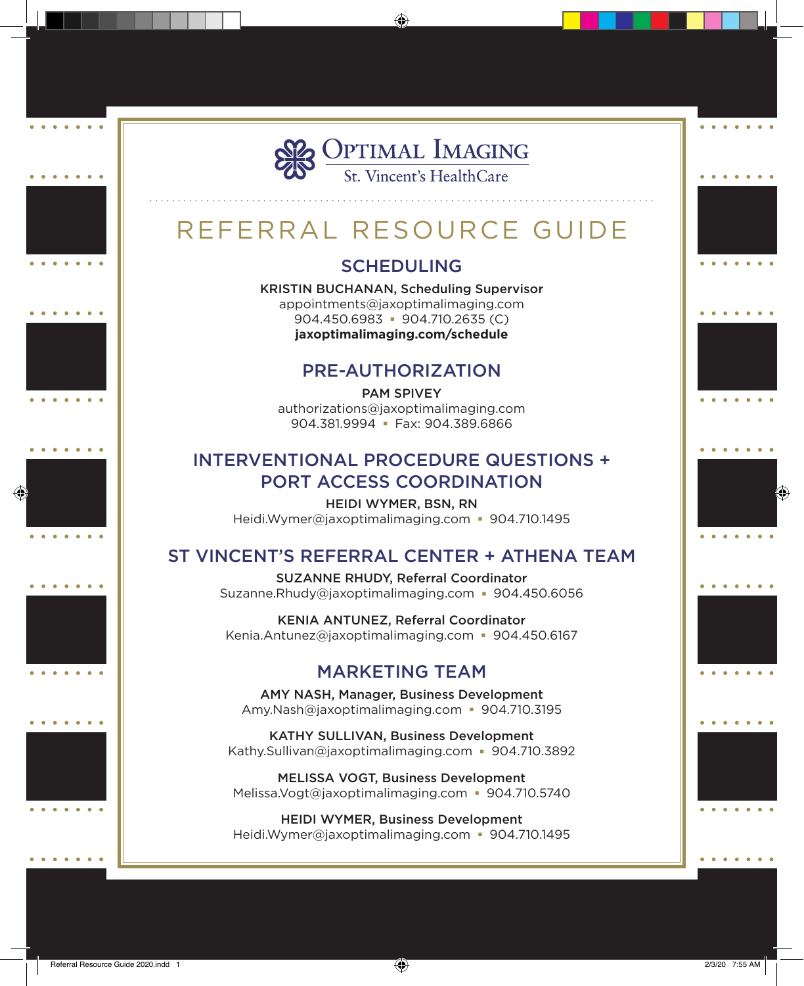

# REFERRAL RESOURCE GUIDE

# **SCHEDULING**

KRISTIN BUCHANAN, Scheduling Supervisor appointments@jaxoptimalimaging.com  $904.450.6983 - 904.710.2635$  (C) **jaxoptimalimaging.com/schedule**

## Pre-Authorization

Pam Spivey authorizations@jaxoptimalimaging.com 904.381.9994 - Fax: 904.389.6866

# Interventional Procedure Questions + Port Access Coordination

Heidi Wymer, BSN, RN Heidi.Wymer@jaxoptimalimaging.com  $\blacksquare$  904.710.1495

# St Vincent's Referral Center + Athena Team

SUZANNE RHUDY, Referral Coordinator Suzanne.Rhudy@jaxoptimalimaging.com 904.450.6056

KENIA ANTUNEZ, Referral Coordinator Kenia.Antunez@jaxoptimalimaging.com  $\blacksquare$  904.450.6167

# Marketing Team

Amy Nash, Manager, Business Development Amy.Nash@jaxoptimalimaging.com  $\blacksquare$  904.710.3195

KATHY SULLIVAN, Business Development Kathy.Sullivan@jaxoptimalimaging.com • 904.710.3892

MELISSA VOGT, Business Development Melissa.Vogt@jaxoptimalimaging.com 904.710.5740

HEIDI WYMER, Business Development Heidi.Wymer@jaxoptimalimaging.com  $\blacksquare$  904.710.1495